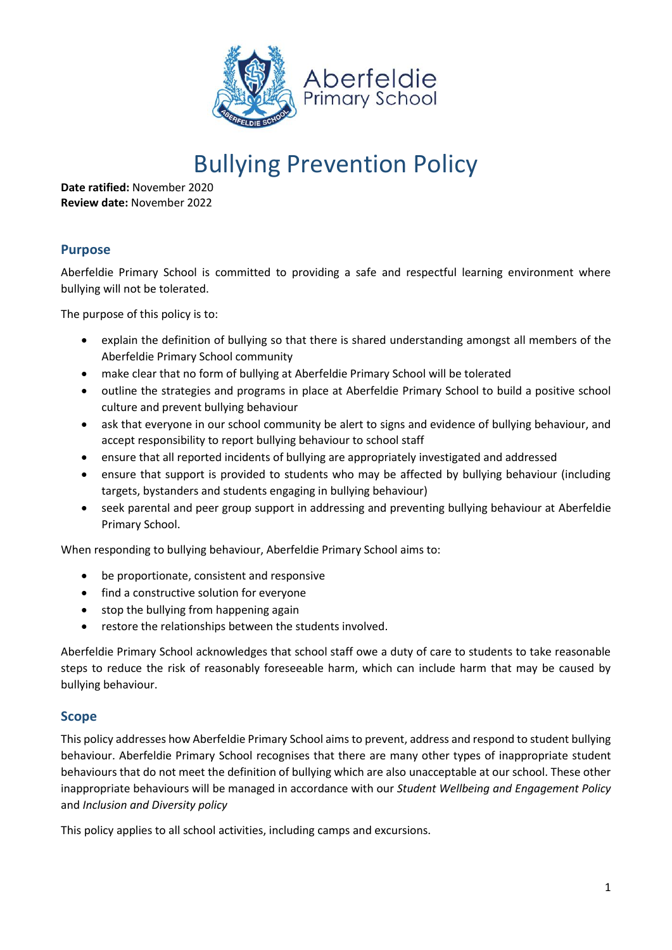

# Bullying Prevention Policy

**Date ratified:** November 2020 **Review date:** November 2022

# **Purpose**

Aberfeldie Primary School is committed to providing a safe and respectful learning environment where bullying will not be tolerated.

The purpose of this policy is to:

- explain the definition of bullying so that there is shared understanding amongst all members of the Aberfeldie Primary School community
- make clear that no form of bullying at Aberfeldie Primary School will be tolerated
- outline the strategies and programs in place at Aberfeldie Primary School to build a positive school culture and prevent bullying behaviour
- ask that everyone in our school community be alert to signs and evidence of bullying behaviour, and accept responsibility to report bullying behaviour to school staff
- ensure that all reported incidents of bullying are appropriately investigated and addressed
- ensure that support is provided to students who may be affected by bullying behaviour (including targets, bystanders and students engaging in bullying behaviour)
- seek parental and peer group support in addressing and preventing bullying behaviour at Aberfeldie Primary School.

When responding to bullying behaviour, Aberfeldie Primary School aims to:

- be proportionate, consistent and responsive
- find a constructive solution for everyone
- stop the bullying from happening again
- restore the relationships between the students involved.

Aberfeldie Primary School acknowledges that school staff owe a duty of care to students to take reasonable steps to reduce the risk of reasonably foreseeable harm, which can include harm that may be caused by bullying behaviour.

## **Scope**

This policy addresses how Aberfeldie Primary School aims to prevent, address and respond to student bullying behaviour. Aberfeldie Primary School recognises that there are many other types of inappropriate student behaviours that do not meet the definition of bullying which are also unacceptable at our school. These other inappropriate behaviours will be managed in accordance with our *Student Wellbeing and Engagement Policy* and *Inclusion and Diversity policy*

This policy applies to all school activities, including camps and excursions.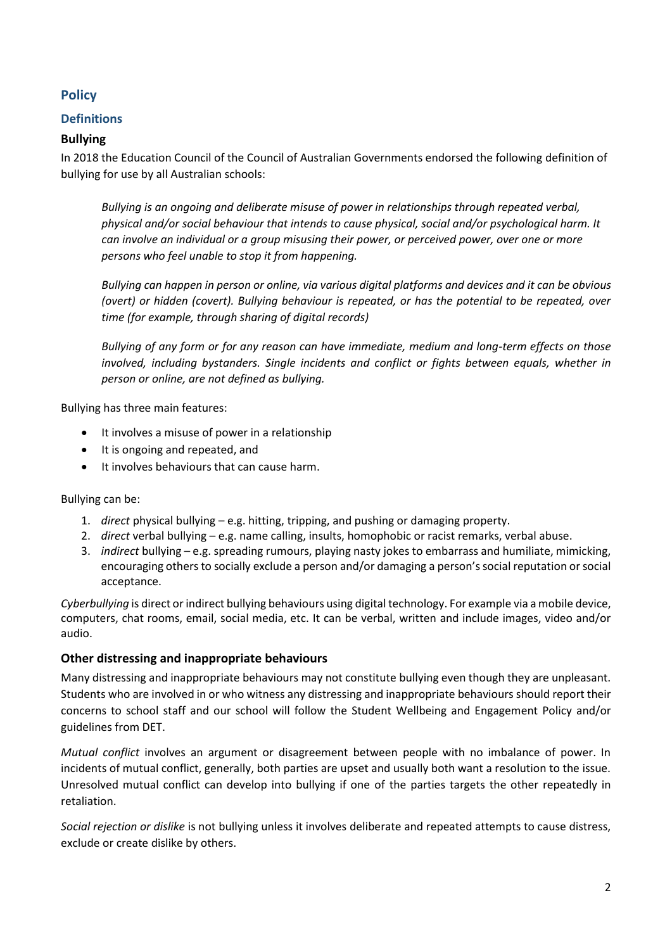# **Policy**

## **Definitions**

## **Bullying**

In 2018 the Education Council of the Council of Australian Governments endorsed the following definition of bullying for use by all Australian schools:

*Bullying is an ongoing and deliberate misuse of power in relationships through repeated verbal, physical and/or social behaviour that intends to cause physical, social and/or psychological harm. It can involve an individual or a group misusing their power, or perceived power, over one or more persons who feel unable to stop it from happening.*

*Bullying can happen in person or online, via various digital platforms and devices and it can be obvious (overt) or hidden (covert). Bullying behaviour is repeated, or has the potential to be repeated, over time (for example, through sharing of digital records)*

*Bullying of any form or for any reason can have immediate, medium and long-term effects on those involved, including bystanders. Single incidents and conflict or fights between equals, whether in person or online, are not defined as bullying.*

Bullying has three main features:

- It involves a misuse of power in a relationship
- It is ongoing and repeated, and
- It involves behaviours that can cause harm.

Bullying can be:

- 1. *direct* physical bullying e.g. hitting, tripping, and pushing or damaging property.
- 2. *direct* verbal bullying e.g. name calling, insults, homophobic or racist remarks, verbal abuse.
- 3. *indirect* bullying e.g. spreading rumours, playing nasty jokes to embarrass and humiliate, mimicking, encouraging others to socially exclude a person and/or damaging a person's social reputation or social acceptance.

*Cyberbullying* is direct or indirect bullying behaviours using digital technology. For example via a mobile device, computers, chat rooms, email, social media, etc. It can be verbal, written and include images, video and/or audio.

#### **Other distressing and inappropriate behaviours**

Many distressing and inappropriate behaviours may not constitute bullying even though they are unpleasant. Students who are involved in or who witness any distressing and inappropriate behaviours should report their concerns to school staff and our school will follow the Student Wellbeing and Engagement Policy and/or guidelines from DET.

*Mutual conflict* involves an argument or disagreement between people with no imbalance of power. In incidents of mutual conflict, generally, both parties are upset and usually both want a resolution to the issue. Unresolved mutual conflict can develop into bullying if one of the parties targets the other repeatedly in retaliation.

*Social rejection or dislike* is not bullying unless it involves deliberate and repeated attempts to cause distress, exclude or create dislike by others.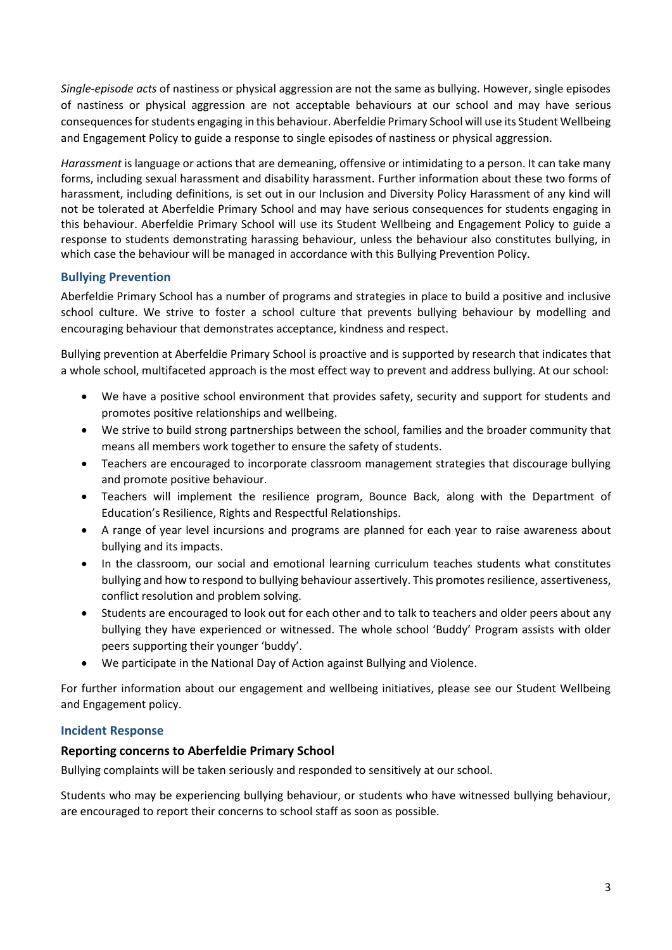*Single-episode acts* of nastiness or physical aggression are not the same as bullying. However, single episodes of nastiness or physical aggression are not acceptable behaviours at our school and may have serious consequences for students engaging in this behaviour. Aberfeldie Primary School will use its Student Wellbeing and Engagement Policy to guide a response to single episodes of nastiness or physical aggression.

*Harassment* is language or actions that are demeaning, offensive or intimidating to a person. It can take many forms, including sexual harassment and disability harassment. Further information about these two forms of harassment, including definitions, is set out in our Inclusion and Diversity Policy Harassment of any kind will not be tolerated at Aberfeldie Primary School and may have serious consequences for students engaging in this behaviour. Aberfeldie Primary School will use its Student Wellbeing and Engagement Policy to guide a response to students demonstrating harassing behaviour, unless the behaviour also constitutes bullying, in which case the behaviour will be managed in accordance with this Bullying Prevention Policy.

## **Bullying Prevention**

Aberfeldie Primary School has a number of programs and strategies in place to build a positive and inclusive school culture. We strive to foster a school culture that prevents bullying behaviour by modelling and encouraging behaviour that demonstrates acceptance, kindness and respect.

Bullying prevention at Aberfeldie Primary School is proactive and is supported by research that indicates that a whole school, multifaceted approach is the most effect way to prevent and address bullying. At our school:

- We have a positive school environment that provides safety, security and support for students and promotes positive relationships and wellbeing.
- We strive to build strong partnerships between the school, families and the broader community that means all members work together to ensure the safety of students.
- Teachers are encouraged to incorporate classroom management strategies that discourage bullying and promote positive behaviour.
- Teachers will implement the resilience program, Bounce Back, along with the Department of Education's Resilience, Rights and Respectful Relationships.
- A range of year level incursions and programs are planned for each year to raise awareness about bullying and its impacts.
- In the classroom, our social and emotional learning curriculum teaches students what constitutes bullying and how to respond to bullying behaviour assertively. This promotes resilience, assertiveness, conflict resolution and problem solving.
- Students are encouraged to look out for each other and to talk to teachers and older peers about any bullying they have experienced or witnessed. The whole school 'Buddy' Program assists with older peers supporting their younger 'buddy'.
- We participate in the National Day of Action against Bullying and Violence.

For further information about our engagement and wellbeing initiatives, please see our Student Wellbeing and Engagement policy.

#### **Incident Response**

#### **Reporting concerns to Aberfeldie Primary School**

Bullying complaints will be taken seriously and responded to sensitively at our school.

Students who may be experiencing bullying behaviour, or students who have witnessed bullying behaviour, are encouraged to report their concerns to school staff as soon as possible.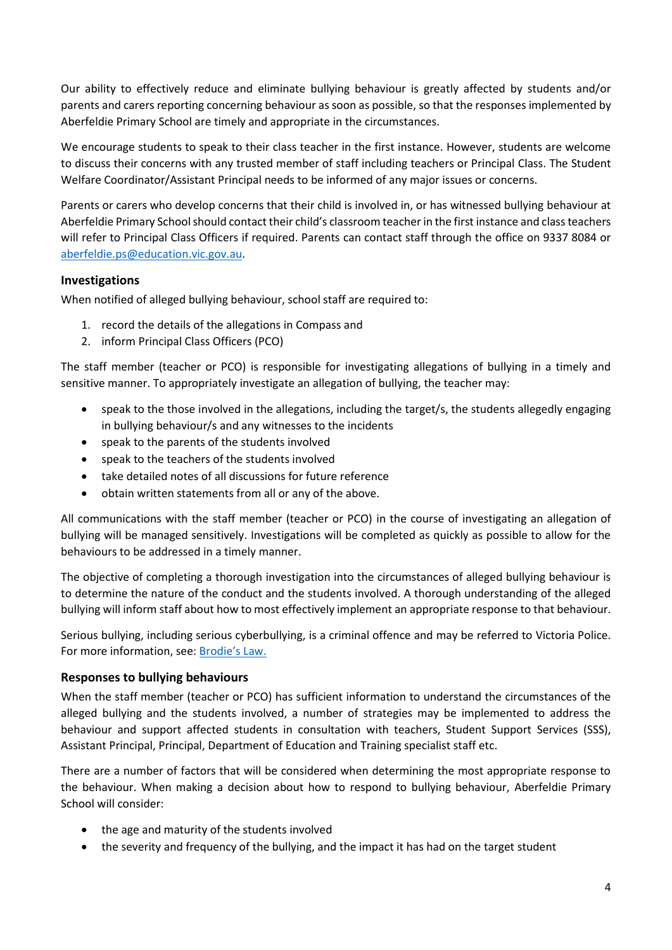Our ability to effectively reduce and eliminate bullying behaviour is greatly affected by students and/or parents and carers reporting concerning behaviour as soon as possible, so that the responses implemented by Aberfeldie Primary School are timely and appropriate in the circumstances.

We encourage students to speak to their class teacher in the first instance. However, students are welcome to discuss their concerns with any trusted member of staff including teachers or Principal Class. The Student Welfare Coordinator/Assistant Principal needs to be informed of any major issues or concerns.

Parents or carers who develop concerns that their child is involved in, or has witnessed bullying behaviour at Aberfeldie Primary School should contact their child's classroom teacher in the first instance and class teachers will refer to Principal Class Officers if required. Parents can contact staff through the office on 9337 8084 or [aberfeldie.ps@education.vic.gov.au.](mailto:aberfeldie.ps@education.vic.gov.au)

#### **Investigations**

When notified of alleged bullying behaviour, school staff are required to:

- 1. record the details of the allegations in Compass and
- 2. inform Principal Class Officers (PCO)

The staff member (teacher or PCO) is responsible for investigating allegations of bullying in a timely and sensitive manner. To appropriately investigate an allegation of bullying, the teacher may:

- speak to the those involved in the allegations, including the target/s, the students allegedly engaging in bullying behaviour/s and any witnesses to the incidents
- speak to the parents of the students involved
- speak to the teachers of the students involved
- take detailed notes of all discussions for future reference
- obtain written statements from all or any of the above.

All communications with the staff member (teacher or PCO) in the course of investigating an allegation of bullying will be managed sensitively. Investigations will be completed as quickly as possible to allow for the behaviours to be addressed in a timely manner.

The objective of completing a thorough investigation into the circumstances of alleged bullying behaviour is to determine the nature of the conduct and the students involved. A thorough understanding of the alleged bullying will inform staff about how to most effectively implement an appropriate response to that behaviour.

Serious bullying, including serious cyberbullying, is a criminal offence and may be referred to Victoria Police. For more information, see: [Brodie's Law.](http://www.education.vic.gov.au/about/programs/bullystoppers/Pages/advicesheetbrodieslaw.aspx)

#### **Responses to bullying behaviours**

When the staff member (teacher or PCO) has sufficient information to understand the circumstances of the alleged bullying and the students involved, a number of strategies may be implemented to address the behaviour and support affected students in consultation with teachers, Student Support Services (SSS), Assistant Principal, Principal, Department of Education and Training specialist staff etc.

There are a number of factors that will be considered when determining the most appropriate response to the behaviour. When making a decision about how to respond to bullying behaviour, Aberfeldie Primary School will consider:

- the age and maturity of the students involved
- the severity and frequency of the bullying, and the impact it has had on the target student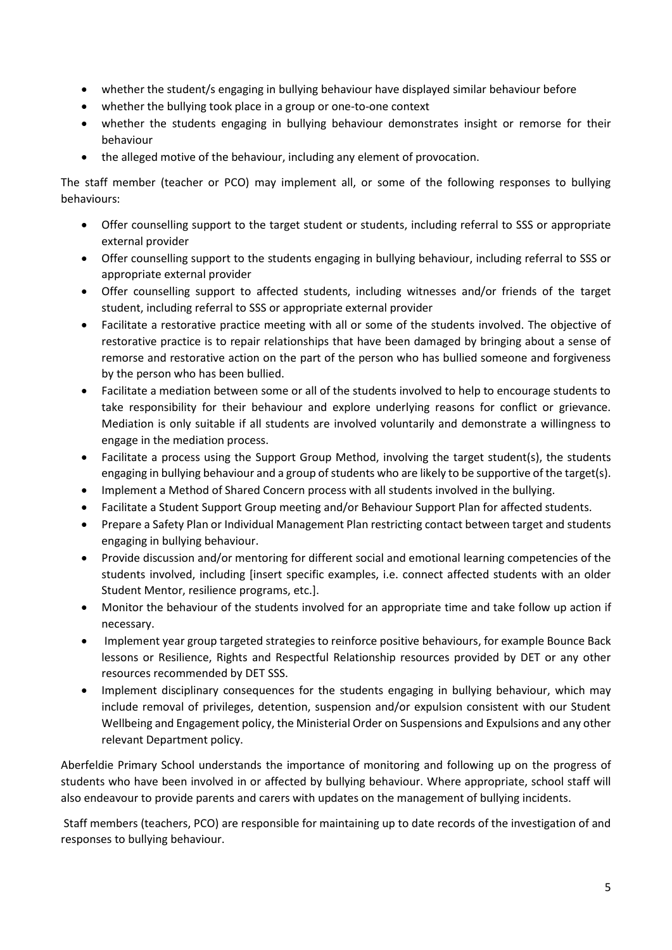- whether the student/s engaging in bullying behaviour have displayed similar behaviour before
- whether the bullying took place in a group or one-to-one context
- whether the students engaging in bullying behaviour demonstrates insight or remorse for their behaviour
- the alleged motive of the behaviour, including any element of provocation.

The staff member (teacher or PCO) may implement all, or some of the following responses to bullying behaviours:

- Offer counselling support to the target student or students, including referral to SSS or appropriate external provider
- Offer counselling support to the students engaging in bullying behaviour, including referral to SSS or appropriate external provider
- Offer counselling support to affected students, including witnesses and/or friends of the target student, including referral to SSS or appropriate external provider
- Facilitate a restorative practice meeting with all or some of the students involved. The objective of restorative practice is to repair relationships that have been damaged by bringing about a sense of remorse and restorative action on the part of the person who has bullied someone and forgiveness by the person who has been bullied.
- Facilitate a mediation between some or all of the students involved to help to encourage students to take responsibility for their behaviour and explore underlying reasons for conflict or grievance. Mediation is only suitable if all students are involved voluntarily and demonstrate a willingness to engage in the mediation process.
- Facilitate a process using the Support Group Method, involving the target student(s), the students engaging in bullying behaviour and a group of students who are likely to be supportive of the target(s).
- Implement a Method of Shared Concern process with all students involved in the bullying.
- Facilitate a Student Support Group meeting and/or Behaviour Support Plan for affected students.
- Prepare a Safety Plan or Individual Management Plan restricting contact between target and students engaging in bullying behaviour.
- Provide discussion and/or mentoring for different social and emotional learning competencies of the students involved, including [insert specific examples, i.e. connect affected students with an older Student Mentor, resilience programs, etc.].
- Monitor the behaviour of the students involved for an appropriate time and take follow up action if necessary.
- Implement year group targeted strategies to reinforce positive behaviours, for example Bounce Back lessons or Resilience, Rights and Respectful Relationship resources provided by DET or any other resources recommended by DET SSS.
- Implement disciplinary consequences for the students engaging in bullying behaviour, which may include removal of privileges, detention, suspension and/or expulsion consistent with our Student Wellbeing and Engagement policy, the Ministerial Order on Suspensions and Expulsions and any other relevant Department policy.

Aberfeldie Primary School understands the importance of monitoring and following up on the progress of students who have been involved in or affected by bullying behaviour. Where appropriate, school staff will also endeavour to provide parents and carers with updates on the management of bullying incidents.

Staff members (teachers, PCO) are responsible for maintaining up to date records of the investigation of and responses to bullying behaviour.